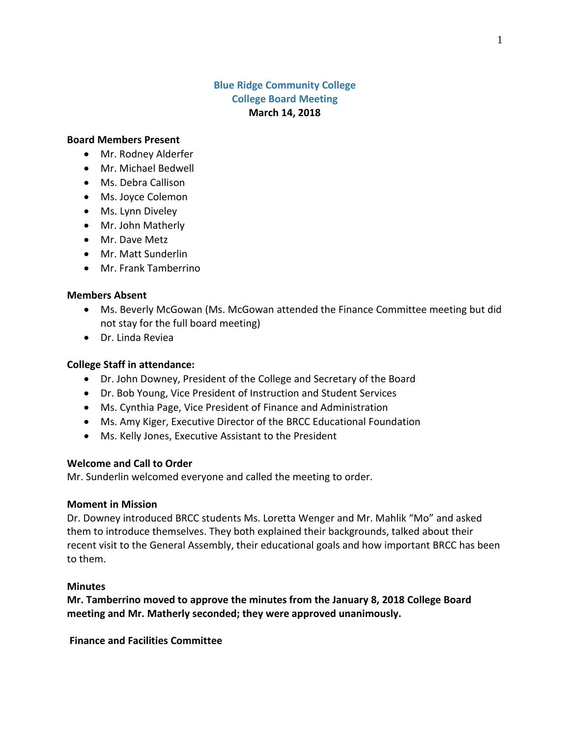# **Blue Ridge Community College College Board Meeting March 14, 2018**

#### **Board Members Present**

- Mr. Rodney Alderfer
- Mr. Michael Bedwell
- Ms. Debra Callison
- Ms. Joyce Colemon
- Ms. Lynn Diveley
- Mr. John Matherly
- Mr. Dave Metz
- Mr. Matt Sunderlin
- Mr. Frank Tamberrino

#### **Members Absent**

- Ms. Beverly McGowan (Ms. McGowan attended the Finance Committee meeting but did not stay for the full board meeting)
- Dr. Linda Reviea

#### **College Staff in attendance:**

- Dr. John Downey, President of the College and Secretary of the Board
- Dr. Bob Young, Vice President of Instruction and Student Services
- Ms. Cynthia Page, Vice President of Finance and Administration
- Ms. Amy Kiger, Executive Director of the BRCC Educational Foundation
- Ms. Kelly Jones, Executive Assistant to the President

# **Welcome and Call to Order**

Mr. Sunderlin welcomed everyone and called the meeting to order.

#### **Moment in Mission**

Dr. Downey introduced BRCC students Ms. Loretta Wenger and Mr. Mahlik "Mo" and asked them to introduce themselves. They both explained their backgrounds, talked about their recent visit to the General Assembly, their educational goals and how important BRCC has been to them.

#### **Minutes**

**Mr. Tamberrino moved to approve the minutes from the January 8, 2018 College Board meeting and Mr. Matherly seconded; they were approved unanimously.**

**Finance and Facilities Committee**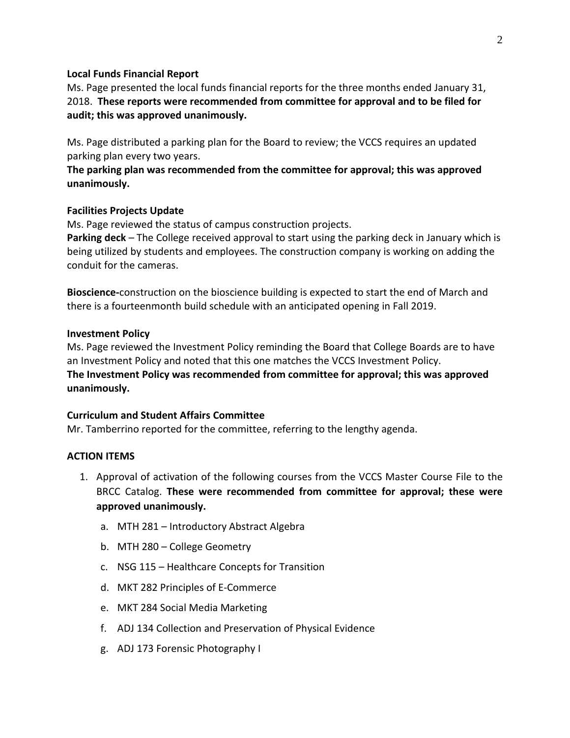#### **Local Funds Financial Report**

Ms. Page presented the local funds financial reports for the three months ended January 31, 2018. **These reports were recommended from committee for approval and to be filed for audit; this was approved unanimously.**

Ms. Page distributed a parking plan for the Board to review; the VCCS requires an updated parking plan every two years.

**The parking plan was recommended from the committee for approval; this was approved unanimously.**

# **Facilities Projects Update**

Ms. Page reviewed the status of campus construction projects.

**Parking deck** – The College received approval to start using the parking deck in January which is being utilized by students and employees. The construction company is working on adding the conduit for the cameras.

**Bioscience-**construction on the bioscience building is expected to start the end of March and there is a fourteenmonth build schedule with an anticipated opening in Fall 2019.

# **Investment Policy**

Ms. Page reviewed the Investment Policy reminding the Board that College Boards are to have an Investment Policy and noted that this one matches the VCCS Investment Policy. **The Investment Policy was recommended from committee for approval; this was approved unanimously.**

# **Curriculum and Student Affairs Committee**

Mr. Tamberrino reported for the committee, referring to the lengthy agenda.

# **ACTION ITEMS**

- 1. Approval of activation of the following courses from the VCCS Master Course File to the BRCC Catalog. **These were recommended from committee for approval; these were approved unanimously.**
	- a. MTH 281 Introductory Abstract Algebra
	- b. MTH 280 College Geometry
	- c. NSG 115 Healthcare Concepts for Transition
	- d. MKT 282 Principles of E-Commerce
	- e. MKT 284 Social Media Marketing
	- f. ADJ 134 Collection and Preservation of Physical Evidence
	- g. ADJ 173 Forensic Photography I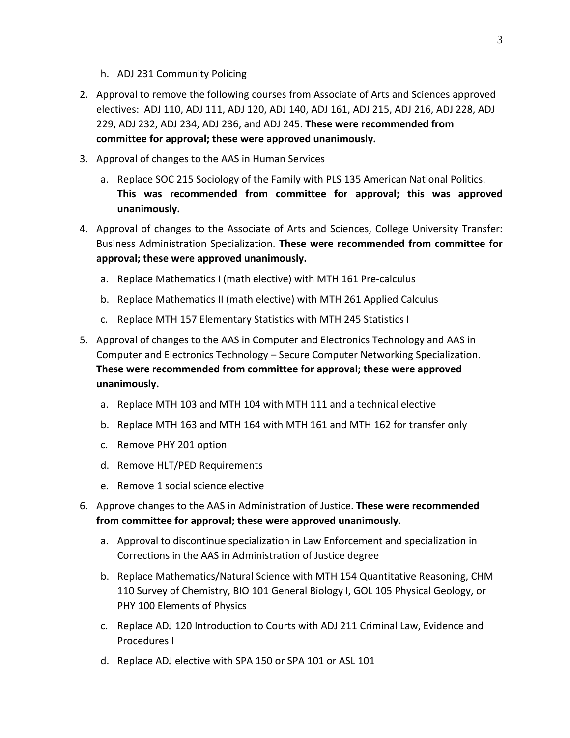- h. ADJ 231 Community Policing
- 2. Approval to remove the following courses from Associate of Arts and Sciences approved electives: ADJ 110, ADJ 111, ADJ 120, ADJ 140, ADJ 161, ADJ 215, ADJ 216, ADJ 228, ADJ 229, ADJ 232, ADJ 234, ADJ 236, and ADJ 245. **These were recommended from committee for approval; these were approved unanimously.**
- 3. Approval of changes to the AAS in Human Services
	- a. Replace SOC 215 Sociology of the Family with PLS 135 American National Politics. **This was recommended from committee for approval; this was approved unanimously.**
- 4. Approval of changes to the Associate of Arts and Sciences, College University Transfer: Business Administration Specialization. **These were recommended from committee for approval; these were approved unanimously.**
	- a. Replace Mathematics I (math elective) with MTH 161 Pre-calculus
	- b. Replace Mathematics II (math elective) with MTH 261 Applied Calculus
	- c. Replace MTH 157 Elementary Statistics with MTH 245 Statistics I
- 5. Approval of changes to the AAS in Computer and Electronics Technology and AAS in Computer and Electronics Technology – Secure Computer Networking Specialization. **These were recommended from committee for approval; these were approved unanimously.**
	- a. Replace MTH 103 and MTH 104 with MTH 111 and a technical elective
	- b. Replace MTH 163 and MTH 164 with MTH 161 and MTH 162 for transfer only
	- c. Remove PHY 201 option
	- d. Remove HLT/PED Requirements
	- e. Remove 1 social science elective
- 6. Approve changes to the AAS in Administration of Justice. **These were recommended from committee for approval; these were approved unanimously.**
	- a. Approval to discontinue specialization in Law Enforcement and specialization in Corrections in the AAS in Administration of Justice degree
	- b. Replace Mathematics/Natural Science with MTH 154 Quantitative Reasoning, CHM 110 Survey of Chemistry, BIO 101 General Biology I, GOL 105 Physical Geology, or PHY 100 Elements of Physics
	- c. Replace ADJ 120 Introduction to Courts with ADJ 211 Criminal Law, Evidence and Procedures I
	- d. Replace ADJ elective with SPA 150 or SPA 101 or ASL 101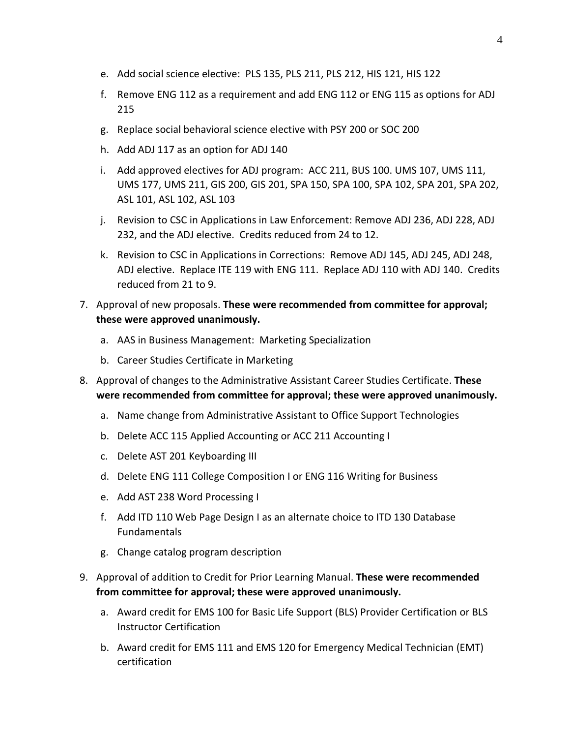- e. Add social science elective: PLS 135, PLS 211, PLS 212, HIS 121, HIS 122
- f. Remove ENG 112 as a requirement and add ENG 112 or ENG 115 as options for ADJ 215
- g. Replace social behavioral science elective with PSY 200 or SOC 200
- h. Add ADJ 117 as an option for ADJ 140
- i. Add approved electives for ADJ program: ACC 211, BUS 100. UMS 107, UMS 111, UMS 177, UMS 211, GIS 200, GIS 201, SPA 150, SPA 100, SPA 102, SPA 201, SPA 202, ASL 101, ASL 102, ASL 103
- j. Revision to CSC in Applications in Law Enforcement: Remove ADJ 236, ADJ 228, ADJ 232, and the ADJ elective. Credits reduced from 24 to 12.
- k. Revision to CSC in Applications in Corrections: Remove ADJ 145, ADJ 245, ADJ 248, ADJ elective. Replace ITE 119 with ENG 111. Replace ADJ 110 with ADJ 140. Credits reduced from 21 to 9.
- 7. Approval of new proposals. **These were recommended from committee for approval; these were approved unanimously.**
	- a. AAS in Business Management: Marketing Specialization
	- b. Career Studies Certificate in Marketing
- 8. Approval of changes to the Administrative Assistant Career Studies Certificate. **These were recommended from committee for approval; these were approved unanimously.**
	- a. Name change from Administrative Assistant to Office Support Technologies
	- b. Delete ACC 115 Applied Accounting or ACC 211 Accounting I
	- c. Delete AST 201 Keyboarding III
	- d. Delete ENG 111 College Composition I or ENG 116 Writing for Business
	- e. Add AST 238 Word Processing I
	- f. Add ITD 110 Web Page Design I as an alternate choice to ITD 130 Database Fundamentals
	- g. Change catalog program description
- 9. Approval of addition to Credit for Prior Learning Manual. **These were recommended from committee for approval; these were approved unanimously.**
	- a. Award credit for EMS 100 for Basic Life Support (BLS) Provider Certification or BLS Instructor Certification
	- b. Award credit for EMS 111 and EMS 120 for Emergency Medical Technician (EMT) certification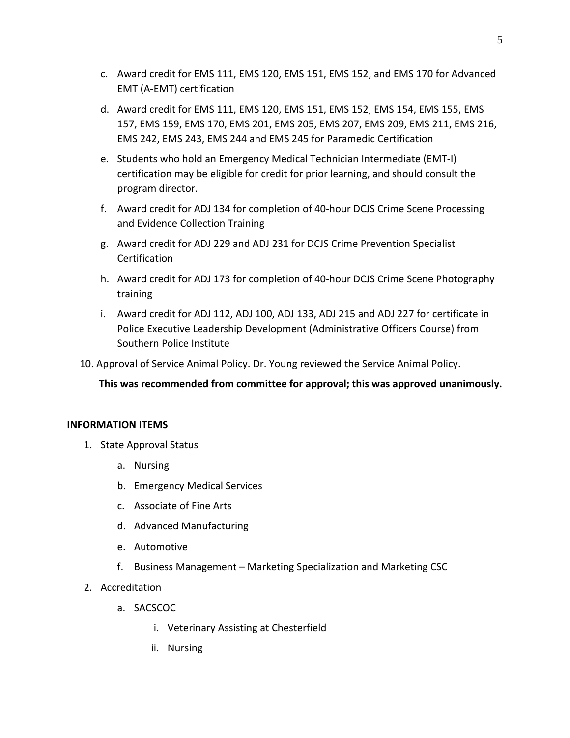- c. Award credit for EMS 111, EMS 120, EMS 151, EMS 152, and EMS 170 for Advanced EMT (A-EMT) certification
- d. Award credit for EMS 111, EMS 120, EMS 151, EMS 152, EMS 154, EMS 155, EMS 157, EMS 159, EMS 170, EMS 201, EMS 205, EMS 207, EMS 209, EMS 211, EMS 216, EMS 242, EMS 243, EMS 244 and EMS 245 for Paramedic Certification
- e. Students who hold an Emergency Medical Technician Intermediate (EMT-I) certification may be eligible for credit for prior learning, and should consult the program director.
- f. Award credit for ADJ 134 for completion of 40-hour DCJS Crime Scene Processing and Evidence Collection Training
- g. Award credit for ADJ 229 and ADJ 231 for DCJS Crime Prevention Specialist **Certification**
- h. Award credit for ADJ 173 for completion of 40-hour DCJS Crime Scene Photography training
- i. Award credit for ADJ 112, ADJ 100, ADJ 133, ADJ 215 and ADJ 227 for certificate in Police Executive Leadership Development (Administrative Officers Course) from Southern Police Institute
- 10. Approval of Service Animal Policy. Dr. Young reviewed the Service Animal Policy.

**This was recommended from committee for approval; this was approved unanimously.**

# **INFORMATION ITEMS**

- 1. State Approval Status
	- a. Nursing
	- b. Emergency Medical Services
	- c. Associate of Fine Arts
	- d. Advanced Manufacturing
	- e. Automotive
	- f. Business Management Marketing Specialization and Marketing CSC
- 2. Accreditation
	- a. SACSCOC
		- i. Veterinary Assisting at Chesterfield
		- ii. Nursing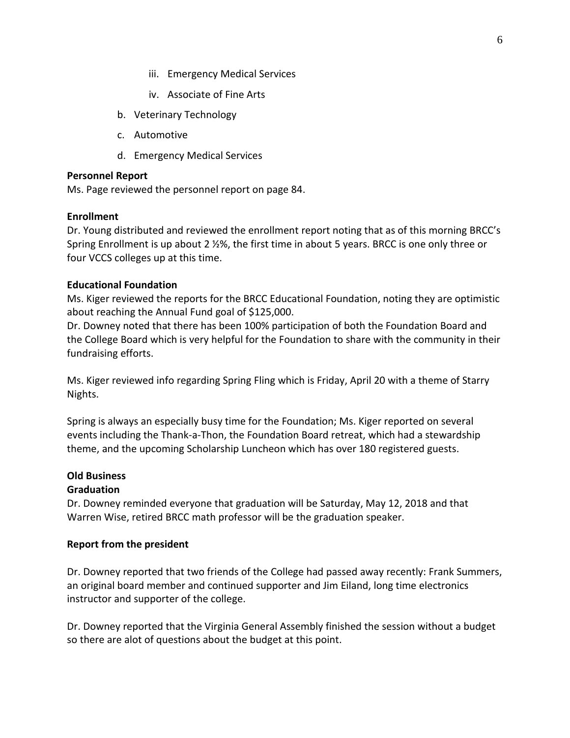- iii. Emergency Medical Services
- iv. Associate of Fine Arts
- b. Veterinary Technology
- c. Automotive
- d. Emergency Medical Services

#### **Personnel Report**

Ms. Page reviewed the personnel report on page 84.

#### **Enrollment**

Dr. Young distributed and reviewed the enrollment report noting that as of this morning BRCC's Spring Enrollment is up about 2 ½%, the first time in about 5 years. BRCC is one only three or four VCCS colleges up at this time.

# **Educational Foundation**

Ms. Kiger reviewed the reports for the BRCC Educational Foundation, noting they are optimistic about reaching the Annual Fund goal of \$125,000.

Dr. Downey noted that there has been 100% participation of both the Foundation Board and the College Board which is very helpful for the Foundation to share with the community in their fundraising efforts.

Ms. Kiger reviewed info regarding Spring Fling which is Friday, April 20 with a theme of Starry Nights.

Spring is always an especially busy time for the Foundation; Ms. Kiger reported on several events including the Thank-a-Thon, the Foundation Board retreat, which had a stewardship theme, and the upcoming Scholarship Luncheon which has over 180 registered guests.

# **Old Business**

# **Graduation**

Dr. Downey reminded everyone that graduation will be Saturday, May 12, 2018 and that Warren Wise, retired BRCC math professor will be the graduation speaker.

# **Report from the president**

Dr. Downey reported that two friends of the College had passed away recently: Frank Summers, an original board member and continued supporter and Jim Eiland, long time electronics instructor and supporter of the college.

Dr. Downey reported that the Virginia General Assembly finished the session without a budget so there are alot of questions about the budget at this point.